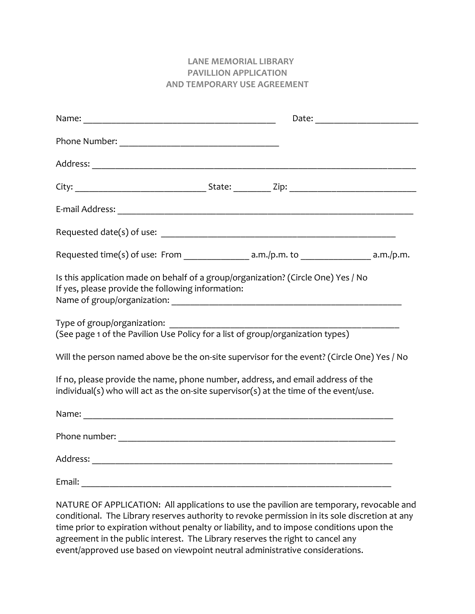## **LANE MEMORIAL LIBRARY PAVILLION APPLICATION AND TEMPORARY USE AGREEMENT**

| Requested time(s) of use: From ______________________a.m./p.m. to _________________________a.m./p.m.                                                                     |  |  |
|--------------------------------------------------------------------------------------------------------------------------------------------------------------------------|--|--|
| Is this application made on behalf of a group/organization? (Circle One) Yes / No<br>If yes, please provide the following information:                                   |  |  |
|                                                                                                                                                                          |  |  |
| Will the person named above be the on-site supervisor for the event? (Circle One) Yes / No                                                                               |  |  |
| If no, please provide the name, phone number, address, and email address of the<br>individual(s) who will act as the on-site supervisor(s) at the time of the event/use. |  |  |
|                                                                                                                                                                          |  |  |
|                                                                                                                                                                          |  |  |
|                                                                                                                                                                          |  |  |
|                                                                                                                                                                          |  |  |
| NATURE OF APPLICATION: All applications to use the pavilion are temporary, revocable and                                                                                 |  |  |

conditional. The Library reserves authority to revoke permission in its sole discretion at any time prior to expiration without penalty or liability, and to impose conditions upon the agreement in the public interest. The Library reserves the right to cancel any event/approved use based on viewpoint neutral administrative considerations.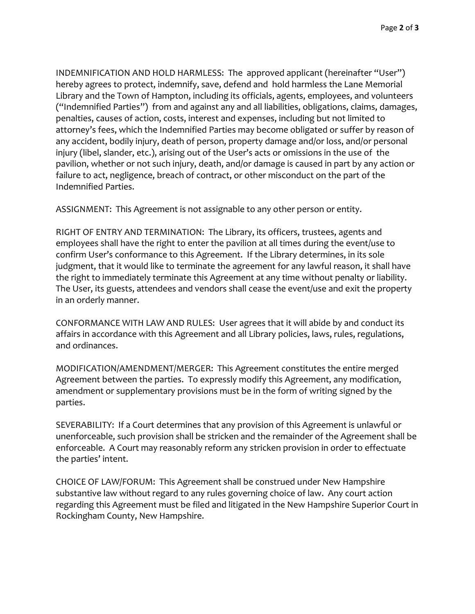INDEMNIFICATION AND HOLD HARMLESS: The approved applicant (hereinafter "User") hereby agrees to protect, indemnify, save, defend and hold harmless the Lane Memorial Library and the Town of Hampton, including its officials, agents, employees, and volunteers ("Indemnified Parties") from and against any and all liabilities, obligations, claims, damages, penalties, causes of action, costs, interest and expenses, including but not limited to attorney's fees, which the Indemnified Parties may become obligated or suffer by reason of any accident, bodily injury, death of person, property damage and/or loss, and/or personal injury (libel, slander, etc.), arising out of the User's acts or omissions in the use of the pavilion, whether or not such injury, death, and/or damage is caused in part by any action or failure to act, negligence, breach of contract, or other misconduct on the part of the Indemnified Parties.

ASSIGNMENT: This Agreement is not assignable to any other person or entity.

RIGHT OF ENTRY AND TERMINATION: The Library, its officers, trustees, agents and employees shall have the right to enter the pavilion at all times during the event/use to confirm User's conformance to this Agreement. If the Library determines, in its sole judgment, that it would like to terminate the agreement for any lawful reason, it shall have the right to immediately terminate this Agreement at any time without penalty or liability. The User, its guests, attendees and vendors shall cease the event/use and exit the property in an orderly manner.

CONFORMANCE WITH LAW AND RULES: User agrees that it will abide by and conduct its affairs in accordance with this Agreement and all Library policies, laws, rules, regulations, and ordinances.

MODIFICATION/AMENDMENT/MERGER: This Agreement constitutes the entire merged Agreement between the parties. To expressly modify this Agreement, any modification, amendment or supplementary provisions must be in the form of writing signed by the parties.

SEVERABILITY: If a Court determines that any provision of this Agreement is unlawful or unenforceable, such provision shall be stricken and the remainder of the Agreement shall be enforceable. A Court may reasonably reform any stricken provision in order to effectuate the parties' intent.

CHOICE OF LAW/FORUM: This Agreement shall be construed under New Hampshire substantive law without regard to any rules governing choice of law. Any court action regarding this Agreement must be filed and litigated in the New Hampshire Superior Court in Rockingham County, New Hampshire.